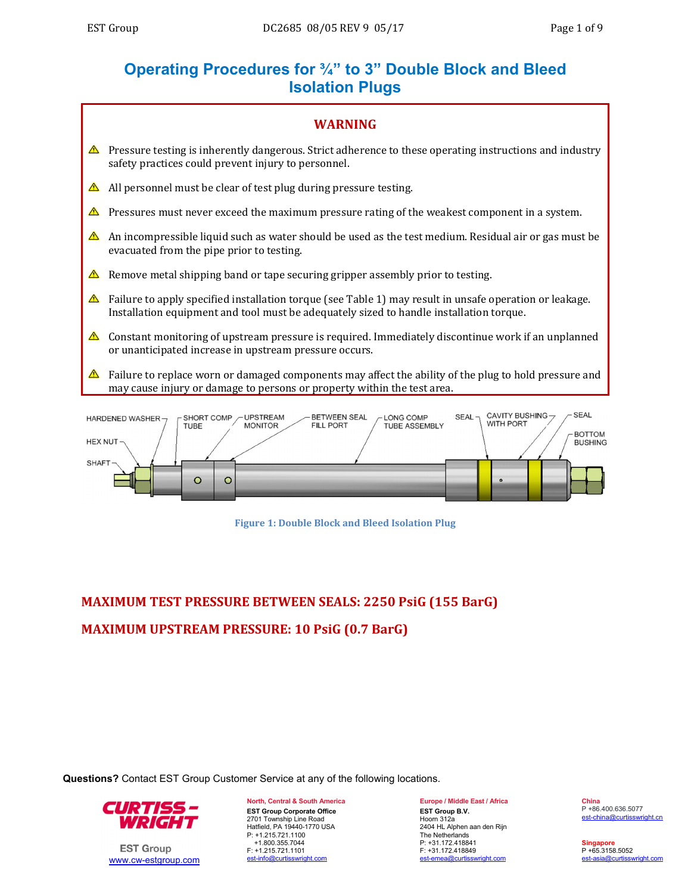# **Operating Procedures for ¾" to 3" Double Block and Bleed Isolation Plugs**



**Figure 1: Double Block and Bleed Isolation Plug**

# **MAXIMUM TEST PRESSURE BETWEEN SEALS: 2250 PsiG (155 BarG) MAXIMUM UPSTREAM PRESSURE: 10 PsiG (0.7 BarG)**

**Questions?** Contact EST Group Customer Service at any of the following locations.



 $\circ$ 

 $\circ$ 

**EST Group** www.cw-estgroup.com **North, Central & South America EST Group Corporate Office**  2701 Township Line Road Hatfield, PA 19440-1770 USA P: +1.215.721.1100 +1.800.355.7044 F: +1.215.721.1101 est-info@curtisswright.com

**Europe / Middle East / Africa EST Group B.V.** Hoorn 312a 2404 HL Alphen aan den Rijn The Netherlands P: +31.172.418841 F: +31.172.418849 est-emea@curtisswright.com

**China** P +86.400.636.5077 est-china@curtisswright.cn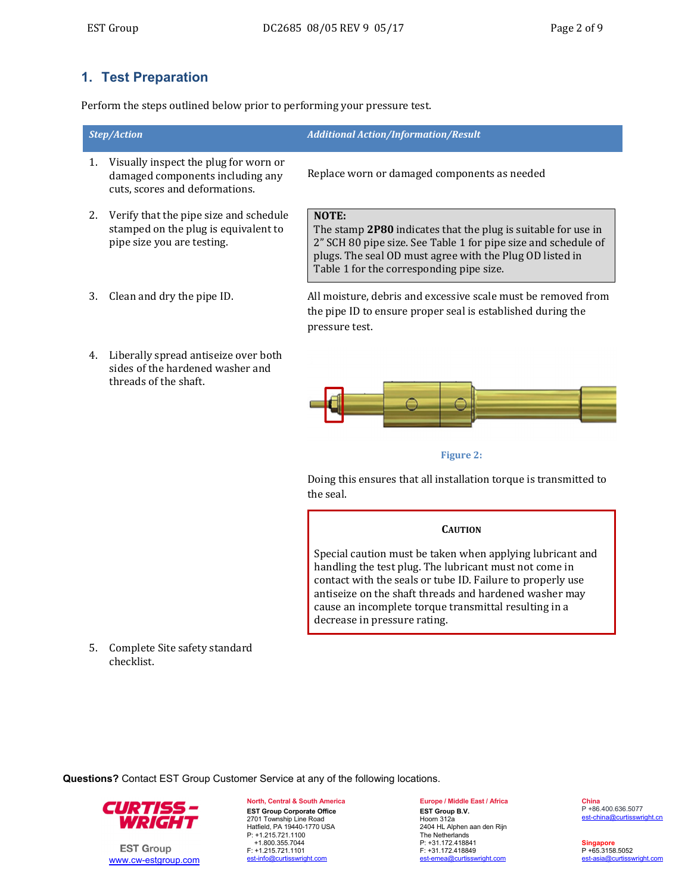## **1. Test Preparation**

Perform the steps outlined below prior to performing your pressure test.

| <b>Step/Action</b> |                                                                                                              | <b>Additional Action/Information/Result</b>                                                                                                                                                                                                      |  |  |  |  |
|--------------------|--------------------------------------------------------------------------------------------------------------|--------------------------------------------------------------------------------------------------------------------------------------------------------------------------------------------------------------------------------------------------|--|--|--|--|
|                    | Visually inspect the plug for worn or<br>damaged components including any<br>cuts, scores and deformations.  | Replace worn or damaged components as needed                                                                                                                                                                                                     |  |  |  |  |
|                    | Verify that the pipe size and schedule<br>stamped on the plug is equivalent to<br>pipe size you are testing. | NOTE:<br>The stamp 2P80 indicates that the plug is suitable for use in<br>2" SCH 80 pipe size. See Table 1 for pipe size and schedule of<br>plugs. The seal OD must agree with the Plug OD listed in<br>Table 1 for the corresponding pipe size. |  |  |  |  |
|                    | Clean and dry the pipe ID.                                                                                   | All moisture, debris and excessive scale must be removed from                                                                                                                                                                                    |  |  |  |  |

4. Liberally spread antiseize over both sides of the hardened washer and threads of the shaft.

the pipe ID to ensure proper seal is established during the pressure test.



#### **Figure** 2:

Doing this ensures that all installation torque is transmitted to the seal.

#### **CAUTION**

Special caution must be taken when applying lubricant and handling the test plug. The lubricant must not come in contact with the seals or tube ID. Failure to properly use antiseize on the shaft threads and hardened washer may cause an incomplete torque transmittal resulting in a decrease in pressure rating.

5. Complete Site safety standard checklist. 

**Questions?** Contact EST Group Customer Service at any of the following locations.



**EST Group** www.cw-estgroup.com **North, Central & South America EST Group Corporate Office**  2701 Township Line Road Hatfield, PA 19440-1770 USA P: +1.215.721.1100 +1.800.355.7044 F: +1.215.721.1101 est-info@curtisswright.com

**Europe / Middle East / Africa EST Group B.V.** Hoorn 312a 2404 HL Alphen aan den Rijn The Netherlands P: +31.172.418841 F: +31.172.418849 est-emea@curtisswright.com

**China** P +86.400.636.5077 est-china@curtisswright.cn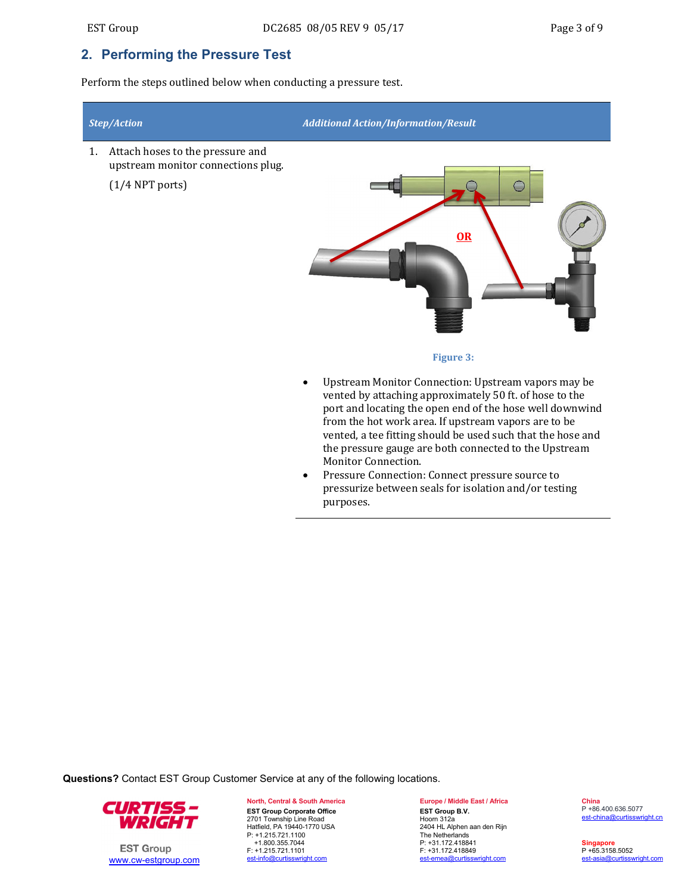## **2. Performing the Pressure Test**

Perform the steps outlined below when conducting a pressure test.



- from the hot work area. If upstream vapors are to be vented, a tee fitting should be used such that the hose and the pressure gauge are both connected to the Upstream Monitor Connection.
- Pressure Connection: Connect pressure source to pressurize between seals for isolation and/or testing purposes.

**Questions?** Contact EST Group Customer Service at any of the following locations.



**EST Group** www.cw-estgroup.com **North, Central & South America EST Group Corporate Office**  2701 Township Line Road Hatfield, PA 19440-1770 USA P: +1.215.721.1100 +1.800.355.7044 F: +1.215.721.1101 est-info@curtisswright.com

**Europe / Middle East / Africa EST Group B.V.** Hoorn 312a 2404 HL Alphen aan den Rijn The Netherlands P: +31.172.418841 F: +31.172.418849 est-emea@curtisswright.com

**China** P +86.400.636.5077 est-china@curtisswright.cn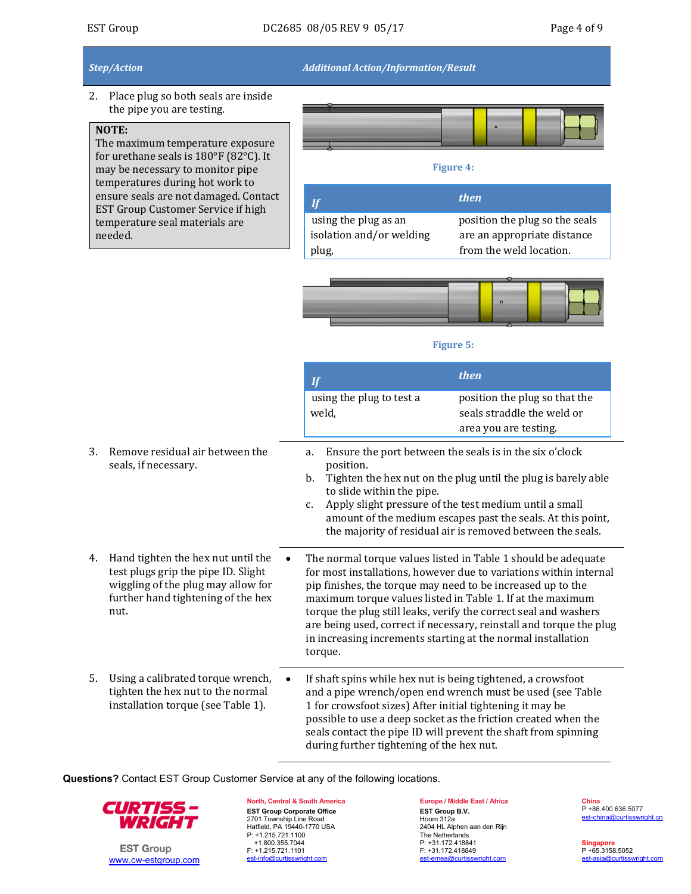*Step/Action Additional Action/Information/Result*

2. Place plug so both seals are inside the pipe you are testing.

## **NOTE:**

The maximum temperature exposure for urethane seals is  $180^{\circ}$ F (82 $^{\circ}$ C). It may be necessary to monitor pipe temperatures during hot work to ensure seals are not damaged. Contact EST Group Customer Service if high temperature seal materials are needed. 

#### **Figure** 4:

|                          | <i>then</i>                    |
|--------------------------|--------------------------------|
| using the plug as an     | position the plug so the seals |
| isolation and/or welding | are an appropriate distance    |
| plug,                    | from the weld location.        |



#### **Figure** 5:

|    |                                                                                                                                                               | If                                                                                                                                                                     | then                                                                                                                                                                                                                                                                                                                                        |
|----|---------------------------------------------------------------------------------------------------------------------------------------------------------------|------------------------------------------------------------------------------------------------------------------------------------------------------------------------|---------------------------------------------------------------------------------------------------------------------------------------------------------------------------------------------------------------------------------------------------------------------------------------------------------------------------------------------|
|    |                                                                                                                                                               | using the plug to test a<br>weld,                                                                                                                                      | position the plug so that the<br>seals straddle the weld or<br>area you are testing.                                                                                                                                                                                                                                                        |
| 3. | Remove residual air between the<br>seals, if necessary.                                                                                                       | a.<br>position.<br>b.<br>to slide within the pipe.<br>$C_{\bullet}$                                                                                                    | Ensure the port between the seals is in the six o'clock<br>Tighten the hex nut on the plug until the plug is barely able<br>Apply slight pressure of the test medium until a small<br>amount of the medium escapes past the seals. At this point,<br>the majority of residual air is removed between the seals.                             |
| 4. | Hand tighten the hex nut until the<br>test plugs grip the pipe ID. Slight<br>wiggling of the plug may allow for<br>further hand tightening of the hex<br>nut. | pip finishes, the torque may need to be increased up to the<br>in increasing increments starting at the normal installation<br>torque.                                 | The normal torque values listed in Table 1 should be adequate<br>for most installations, however due to variations within internal<br>maximum torque values listed in Table 1. If at the maximum<br>torque the plug still leaks, verify the correct seal and washers<br>are being used, correct if necessary, reinstall and torque the plug |
| 5. | Using a calibrated torque wrench,<br>tighten the hex nut to the normal<br>installation torque (see Table 1).                                                  | If shaft spins while hex nut is being tightened, a crowsfoot<br>1 for crowsfoot sizes) After initial tightening it may be<br>during further tightening of the hex nut. | and a pipe wrench/open end wrench must be used (see Table<br>possible to use a deep socket as the friction created when the<br>seals contact the pipe ID will prevent the shaft from spinning                                                                                                                                               |

**Questions?** Contact EST Group Customer Service at any of the following locations.



**EST Group** www.cw-estgroup.com

**North, Central & South America EST Group Corporate Office**  2701 Township Line Road Hatfield, PA 19440-1770 USA P: +1.215.721.1100 +1.800.355.7044 F: +1.215.721.1101 est-info@curtisswright.com

**Europe / Middle East / Africa EST Group B.V.** Hoorn 312a 2404 HL Alphen aan den Rijn The Netherlands P: +31.172.418841 F: +31.172.418849 est-emea@curtisswright.com

**China** P +86.400.636.5077 est-china@curtisswright.cn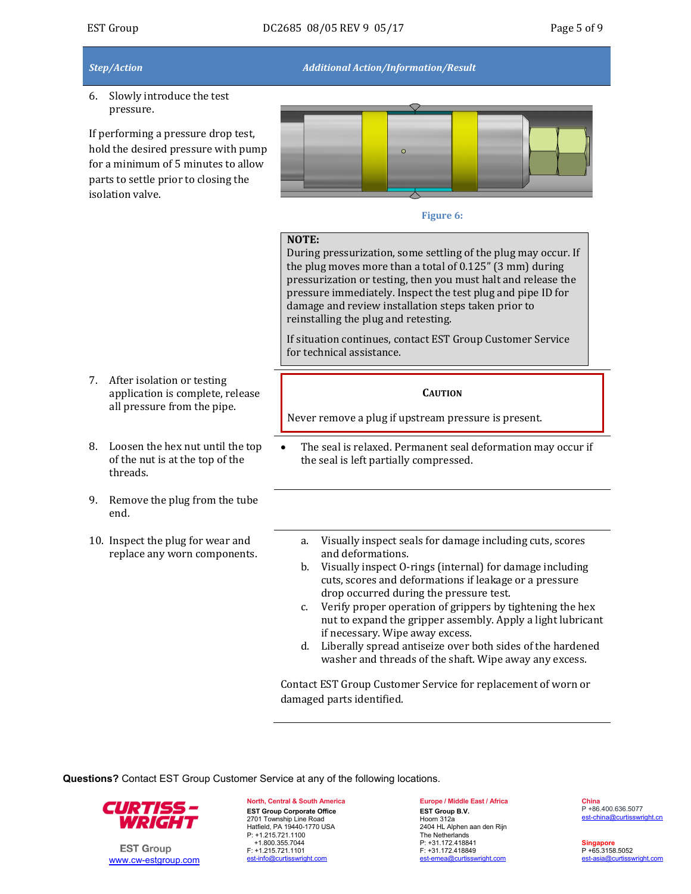## $EST Group$   $DC2685$   $08/05$  REV 9  $05/17$  Page 5 of 9

*Step/Action Additional Action/Information/Result*

6. Slowly introduce the test pressure. 

7. After isolation or testing

threads. 

end. 

application is complete, release all pressure from the pipe.

8. Loosen the hex nut until the top of the nut is at the top of the

9. Remove the plug from the tube

replace any worn components.

If performing a pressure drop test, hold the desired pressure with pump for a minimum of 5 minutes to allow parts to settle prior to closing the isolation valve.



#### **Figure** 6:

## **NOTE:**

During pressurization, some settling of the plug may occur. If the plug moves more than a total of  $0.125$ " (3 mm) during pressurization or testing, then you must halt and release the pressure immediately. Inspect the test plug and pipe ID for damage and review installation steps taken prior to reinstalling the plug and retesting.

If situation continues, contact EST Group Customer Service for technical assistance.

#### **CAUTION**

Never remove a plug if upstream pressure is present.

- The seal is relaxed. Permanent seal deformation may occur if the seal is left partially compressed.
- 10. Inspect the plug for wear and a. Visually inspect seals for damage including cuts, scores
	- and deformations. b. Visually inspect O-rings (internal) for damage including cuts, scores and deformations if leakage or a pressure drop occurred during the pressure test.
	- c. Verify proper operation of grippers by tightening the hex nut to expand the gripper assembly. Apply a light lubricant if necessary. Wipe away excess.
	- d. Liberally spread antiseize over both sides of the hardened washer and threads of the shaft. Wipe away any excess.

Contact EST Group Customer Service for replacement of worn or damaged parts identified.

**Questions?** Contact EST Group Customer Service at any of the following locations.



**EST Group** www.cw-estgroup.com

**North, Central & South America EST Group Corporate Office**  2701 Township Line Road Hatfield, PA 19440-1770 USA P: +1.215.721.1100 +1.800.355.7044 F: +1.215.721.1101 est-info@curtisswright.com

**Europe / Middle East / Africa EST Group B.V.** Hoorn 312a 2404 HL Alphen aan den Rijn The Netherlands P: +31.172.418841 F: +31.172.418849 est-emea@curtisswright.com

**China** P +86.400.636.5077 est-china@curtisswright.cn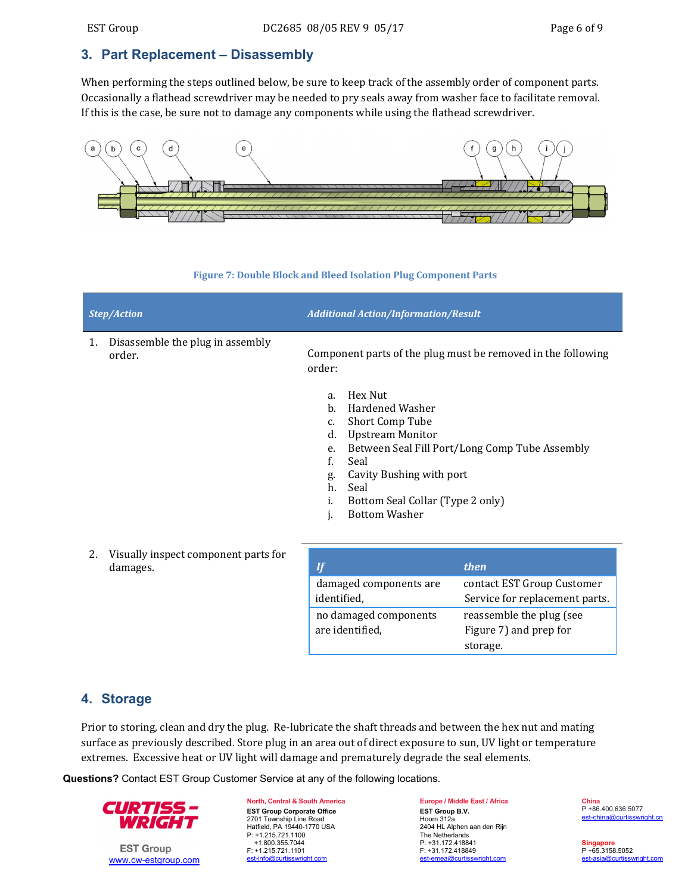## **3. Part Replacement – Disassembly**

When performing the steps outlined below, be sure to keep track of the assembly order of component parts. Occasionally a flathead screwdriver may be needed to pry seals away from washer face to facilitate removal. If this is the case, be sure not to damage any components while using the flathead screwdriver.



#### **Figure 7: Double Block and Bleed Isolation Plug Component Parts**

|    | <b>Step/Action</b>                               | <b>Additional Action/Information/Result</b>                                                                                                                                                                                                                                                            |  |  |  |  |  |
|----|--------------------------------------------------|--------------------------------------------------------------------------------------------------------------------------------------------------------------------------------------------------------------------------------------------------------------------------------------------------------|--|--|--|--|--|
| 1. | Disassemble the plug in assembly<br>order.       | Component parts of the plug must be removed in the following<br>order:                                                                                                                                                                                                                                 |  |  |  |  |  |
|    |                                                  | Hex Nut<br>a.<br>$b$<br><b>Hardened Washer</b><br>Short Comp Tube<br>c.<br><b>Upstream Monitor</b><br>d.<br>Between Seal Fill Port/Long Comp Tube Assembly<br>e.<br>f.<br>Seal<br>Cavity Bushing with port<br>g.<br>h.<br>Seal<br>Bottom Seal Collar (Type 2 only)<br>i.<br><b>Bottom Washer</b><br>j. |  |  |  |  |  |
| 2. | Visually inspect component parts for<br>damages. | <b>If</b><br>then                                                                                                                                                                                                                                                                                      |  |  |  |  |  |
|    |                                                  | damaged components are<br>contact EST Group Customer<br>identified,<br>Service for replacement parts.                                                                                                                                                                                                  |  |  |  |  |  |
|    |                                                  | no damaged components<br>reassemble the plug (see                                                                                                                                                                                                                                                      |  |  |  |  |  |

## **4. Storage**

Prior to storing, clean and dry the plug. Re-lubricate the shaft threads and between the hex nut and mating surface as previously described. Store plug in an area out of direct exposure to sun, UV light or temperature extremes. Excessive heat or UV light will damage and prematurely degrade the seal elements.

are identified,

**Questions?** Contact EST Group Customer Service at any of the following locations.



**EST Group** www.cw-estgroup.com **North, Central & South America EST Group Corporate Office**  2701 Township Line Road Hatfield, PA 19440-1770 USA P: +1.215.721.1100 +1.800.355.7044 F: +1.215.721.1101 est-info@curtisswright.com

**Europe / Middle East / Africa EST Group B.V.** Hoorn 312a 2404 HL Alphen aan den Rijn The Netherlands P: +31.172.418841 F: +31.172.418849 est-emea@curtisswright.com

Figure 7) and prep for

storage. 

**China** P +86.400.636.5077 est-china@curtisswright.cn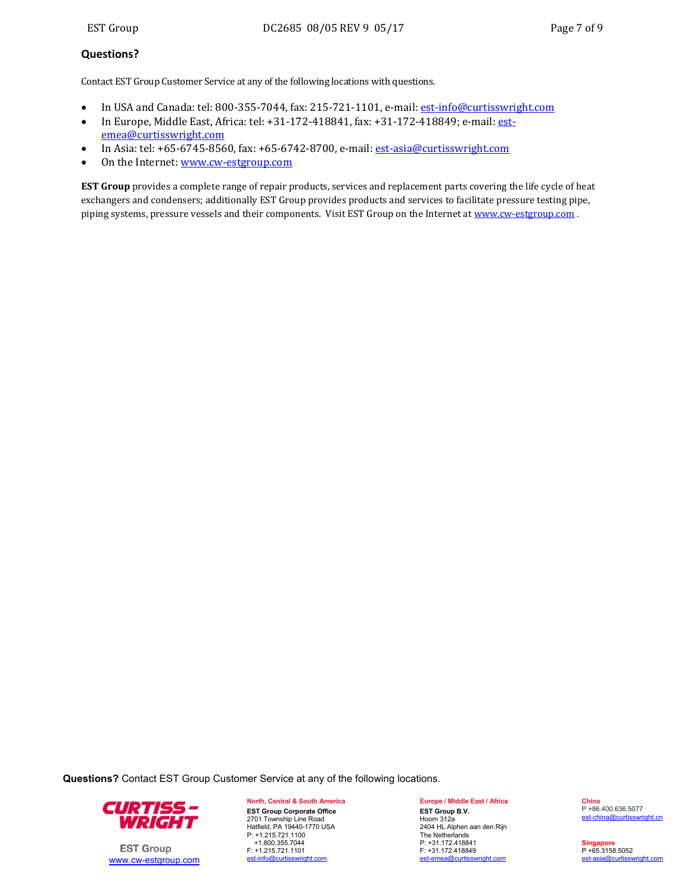### **Questions?**

Contact EST Group Customer Service at any of the following locations with questions.

- In USA and Canada: tel: 800-355-7044, fax: 215-721-1101, e-mail: est-info@curtisswright.com
- In Europe, Middle East, Africa: tel: +31-172-418841, fax: +31-172-418849; e-mail: estemea@curtisswright.com
- In Asia: tel: +65-6745-8560, fax: +65-6742-8700, e-mail: est-asia@curtisswright.com
- On the Internet: www.cw-estgroup.com

**EST** Group provides a complete range of repair products, services and replacement parts covering the life cycle of heat exchangers and condensers; additionally EST Group provides products and services to facilitate pressure testing pipe, piping systems, pressure vessels and their components. Visit EST Group on the Internet at www.cw-estgroup.com .

**Questions?** Contact EST Group Customer Service at any of the following locations.



**EST Group** www.cw-estgroup.com

**North, Central & South America EST Group Corporate Office**  2701 Township Line Road Hatfield, PA 19440-1770 USA P: +1.215.721.1100 +1.800.355.7044 F: +1.215.721.1101 est-info@curtisswright.com

**Europe / Middle East / Africa EST Group B.V.** Hoorn 312a 2404 HL Alphen aan den Rijn The Netherlands P: +31.172.418841 F: +31.172.418849 est-emea@curtisswright.com

**China** P +86.400.636.5077 est-china@curtisswright.cn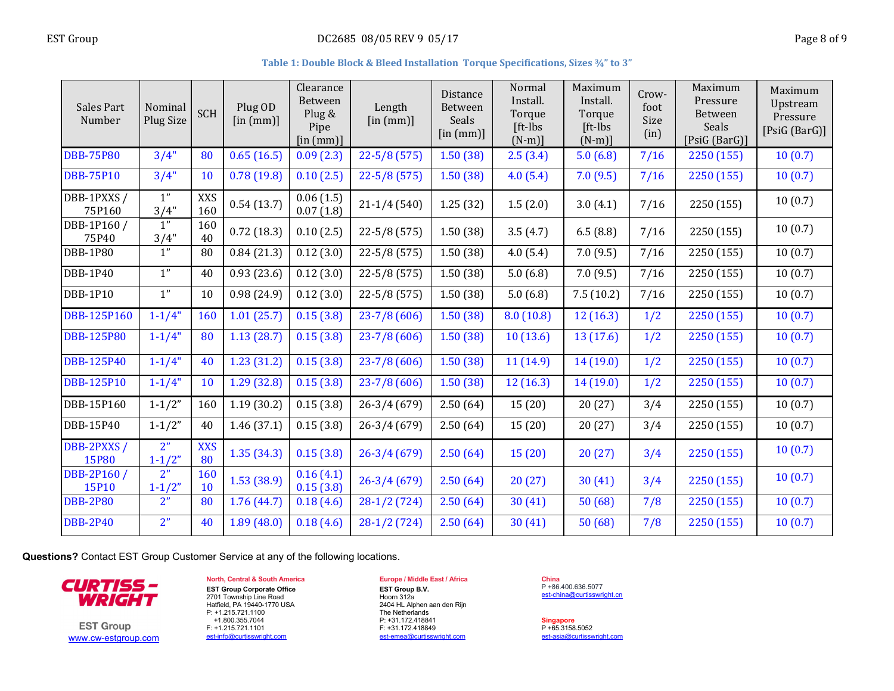#### **Table 1: Double Block & Bleed Installation Torque Specifications, Sizes ¾" to 3"**

| Sales Part<br>Number       | Nominal<br>Plug Size         | SCH               | Plug OD<br>$[$ in $(mm)]$ | Clearance<br>Between<br>Plug &<br>Pipe<br>$[$ in $(mm)]$ | Length<br>$[$ in $(mm)]$ | <b>Distance</b><br><b>Between</b><br>Seals<br>$\left[\text{in (mm)}\right]$ | Normal<br>Install.<br>Torque<br>[ft-lbs<br>$(N-m)$ ] | Maximum<br>Install.<br>Torque<br>$[ft-lbs]$<br>$(N-m)$ ] | $Crow-$<br>foot<br>Size<br>(in) | Maximum<br>Pressure<br>Between<br>Seals<br>[PsiG (BarG)] | Maximum<br>Upstream<br>Pressure<br>[Psi(G (BarG))] |
|----------------------------|------------------------------|-------------------|---------------------------|----------------------------------------------------------|--------------------------|-----------------------------------------------------------------------------|------------------------------------------------------|----------------------------------------------------------|---------------------------------|----------------------------------------------------------|----------------------------------------------------|
| <b>DBB-75P80</b>           | 3/4"                         | 80                | 0.65(16.5)                | 0.09(2.3)                                                | $22 - 5/8(575)$          | 1.50(38)                                                                    | 2.5(3.4)                                             | 5.0(6.8)                                                 | 7/16                            | 2250 (155)                                               | 10(0.7)                                            |
| <b>DBB-75P10</b>           | 3/4"                         | 10                | 0.78(19.8)                | 0.10(2.5)                                                | $22 - 5/8(575)$          | 1.50(38)                                                                    | 4.0(5.4)                                             | 7.0(9.5)                                                 | 7/16                            | 2250 (155)                                               | 10(0.7)                                            |
| DBB-1PXXS/<br>75P160       | 1"<br>3/4"                   | <b>XXS</b><br>160 | 0.54(13.7)                | 0.06(1.5)<br>0.07(1.8)                                   | $21-1/4(540)$            | 1.25(32)                                                                    | 1.5(2.0)                                             | 3.0(4.1)                                                 | 7/16                            | 2250 (155)                                               | 10(0.7)                                            |
| DBB-1P160 /<br>75P40       | 1"<br>3/4"                   | 160<br>40         | 0.72(18.3)                | 0.10(2.5)                                                | $22 - 5/8(575)$          | 1.50(38)                                                                    | 3.5(4.7)                                             | 6.5(8.8)                                                 | 7/16                            | 2250 (155)                                               | 10(0.7)                                            |
| DBB-1P80                   | 1"                           | 80                | 0.84(21.3)                | 0.12(3.0)                                                | $22 - 5/8(575)$          | 1.50(38)                                                                    | 4.0(5.4)                                             | 7.0(9.5)                                                 | 7/16                            | 2250 (155)                                               | 10(0.7)                                            |
| <b>DBB-1P40</b>            | 1"                           | 40                | 0.93(23.6)                | 0.12(3.0)                                                | $22 - 5/8(575)$          | 1.50(38)                                                                    | 5.0(6.8)                                             | 7.0(9.5)                                                 | 7/16                            | 2250 (155)                                               | 10(0.7)                                            |
| DBB-1P10                   | 1"                           | 10                | 0.98(24.9)                | 0.12(3.0)                                                | $22 - 5/8(575)$          | 1.50(38)                                                                    | 5.0(6.8)                                             | 7.5(10.2)                                                | 7/16                            | 2250 (155)                                               | 10(0.7)                                            |
| <b>DBB-125P160</b>         | $1 - 1/4"$                   | 160               | 1.01(25.7)                | 0.15(3.8)                                                | $23 - 7/8(606)$          | 1.50(38)                                                                    | 8.0(10.8)                                            | 12(16.3)                                                 | 1/2                             | 2250 (155)                                               | 10(0.7)                                            |
| <b>DBB-125P80</b>          | $1 - 1/4"$                   | 80                | 1.13(28.7)                | 0.15(3.8)                                                | $23 - 7/8(606)$          | 1.50(38)                                                                    | 10(13.6)                                             | 13 (17.6)                                                | 1/2                             | 2250 (155)                                               | 10(0.7)                                            |
| <b>DBB-125P40</b>          | $1 - 1/4"$                   | 40                | 1.23(31.2)                | 0.15(3.8)                                                | $23 - 7/8(606)$          | 1.50(38)                                                                    | 11(14.9)                                             | 14(19.0)                                                 | 1/2                             | 2250 (155)                                               | 10(0.7)                                            |
| <b>DBB-125P10</b>          | $1 - 1/4"$                   | 10                | 1.29(32.8)                | 0.15(3.8)                                                | $23 - 7/8(606)$          | 1.50(38)                                                                    | 12(16.3)                                             | 14(19.0)                                                 | 1/2                             | 2250 (155)                                               | 10(0.7)                                            |
| DBB-15P160                 | $1 - 1/2"$                   | 160               | 1.19(30.2)                | 0.15(3.8)                                                | $26 - 3/4(679)$          | 2.50(64)                                                                    | 15(20)                                               | 20(27)                                                   | 3/4                             | 2250 (155)                                               | 10(0.7)                                            |
| DBB-15P40                  | $1 - 1/2"$                   | 40                | 1.46(37.1)                | 0.15(3.8)                                                | $26-3/4(679)$            | 2.50(64)                                                                    | 15 (20)                                              | 20(27)                                                   | 3/4                             | 2250 (155)                                               | 10(0.7)                                            |
| DBB-2PXXS/<br><b>15P80</b> | 2 <sup>n</sup><br>$1 - 1/2"$ | <b>XXS</b><br>80  | 1.35(34.3)                | 0.15(3.8)                                                | $26 - 3/4(679)$          | 2.50(64)                                                                    | 15(20)                                               | 20(27)                                                   | 3/4                             | 2250 (155)                                               | 10(0.7)                                            |
| DBB-2P160 /<br>15P10       | 2 <sup>n</sup><br>$1 - 1/2"$ | 160<br>10         | 1.53(38.9)                | 0.16(4.1)<br>0.15(3.8)                                   | $26 - 3/4(679)$          | 2.50(64)                                                                    | 20(27)                                               | 30(41)                                                   | 3/4                             | 2250 (155)                                               | 10(0.7)                                            |
| <b>DBB-2P80</b>            | 2 <sup>n</sup>               | 80                | 1.76(44.7)                | 0.18(4.6)                                                | $28-1/2(724)$            | 2.50(64)                                                                    | 30(41)                                               | 50(68)                                                   | 7/8                             | 2250 (155)                                               | 10(0.7)                                            |
| <b>DBB-2P40</b>            | 2 <sup>n</sup>               | 40                | 1.89(48.0)                | 0.18(4.6)                                                | $28-1/2(724)$            | 2.50(64)                                                                    | 30(41)                                               | 50(68)                                                   | 7/8                             | 2250 (155)                                               | 10(0.7)                                            |

**Questions?** Contact EST Group Customer Service at any of the following locations.



**EST Group** www.cw-estgroup.com

#### **North, Central & South America EST Group Corporate Office**  2701 Township Line Road Hatfield, PA 19440-1770 USA P: +1.215.721.1100 +1.800.355.7044 F: +1.215.721.1101 est-info@curtisswright.com

## **Europe / Middle East / Africa**

**EST Group B.V.** Hoorn 312a 2404 HL Alphen aan den Rijn The Netherlands P: +31.172.418841 F: +31.172.418849 est-emea@curtisswright.com

**China** P +86.400.636.5077 est-china@curtisswright.cn